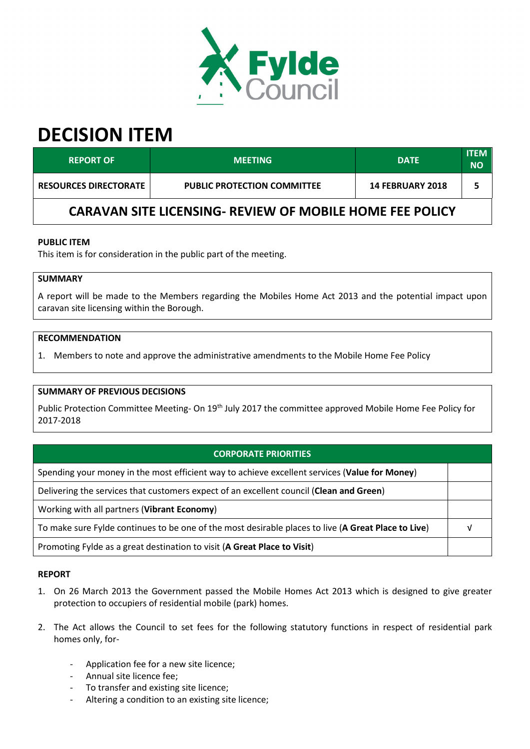

# **DECISION ITEM**

| <b>REPORT OF</b>                                                | <b>MEETING</b>                     | <b>DATE</b>             | <b>ITEM</b><br>NΟ |  |  |  |
|-----------------------------------------------------------------|------------------------------------|-------------------------|-------------------|--|--|--|
| <b>RESOURCES DIRECTORATE</b>                                    | <b>PUBLIC PROTECTION COMMITTEE</b> | <b>14 FEBRUARY 2018</b> |                   |  |  |  |
| <b>CARAVAN SITE LICENSING- REVIEW OF MOBILE HOME FEE POLICY</b> |                                    |                         |                   |  |  |  |

# **PUBLIC ITEM**

This item is for consideration in the public part of the meeting.

## **SUMMARY**

A report will be made to the Members regarding the Mobiles Home Act 2013 and the potential impact upon caravan site licensing within the Borough.

#### **RECOMMENDATION**

1. Members to note and approve the administrative amendments to the Mobile Home Fee Policy

## **SUMMARY OF PREVIOUS DECISIONS**

Public Protection Committee Meeting- On 19<sup>th</sup> July 2017 the committee approved Mobile Home Fee Policy for 2017-2018

# **CORPORATE PRIORITIES**

Spending your money in the most efficient way to achieve excellent services (**Value for Money**)

Delivering the services that customers expect of an excellent council (**Clean and Green**)

Working with all partners (**Vibrant Economy**)

To make sure Fylde continues to be one of the most desirable places to live (**A Great Place to Live**) √

Promoting Fylde as a great destination to visit (**A Great Place to Visit**)

#### **REPORT**

- 1. On 26 March 2013 the Government passed the Mobile Homes Act 2013 which is designed to give greater protection to occupiers of residential mobile (park) homes.
- 2. The Act allows the Council to set fees for the following statutory functions in respect of residential park homes only, for-
	- Application fee for a new site licence;
	- Annual site licence fee;
	- To transfer and existing site licence;
	- Altering a condition to an existing site licence;